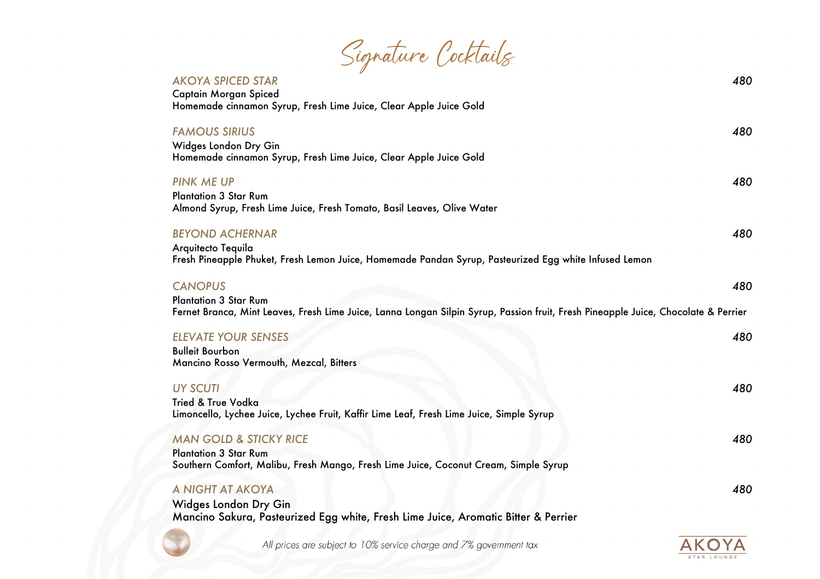| Signature Cocktails |  |
|---------------------|--|
|                     |  |

| <b>AKOYA SPICED STAR</b><br><b>Captain Morgan Spiced</b><br>Homemade cinnamon Syrup, Fresh Lime Juice, Clear Apple Juice Gold                                                        | 480 |
|--------------------------------------------------------------------------------------------------------------------------------------------------------------------------------------|-----|
| <b>FAMOUS SIRIUS</b><br>Widges London Dry Gin<br>Homemade cinnamon Syrup, Fresh Lime Juice, Clear Apple Juice Gold                                                                   | 480 |
| <b>PINK ME UP</b><br><b>Plantation 3 Star Rum</b><br>Almond Syrup, Fresh Lime Juice, Fresh Tomato, Basil Leaves, Olive Water                                                         | 480 |
| <b>BEYOND ACHERNAR</b><br>Arquitecto Tequila<br>Fresh Pineapple Phuket, Fresh Lemon Juice, Homemade Pandan Syrup, Pasteurized Egg white Infused Lemon                                | 480 |
| <b>CANOPUS</b><br><b>Plantation 3 Star Rum</b><br>Fernet Branca, Mint Leaves, Fresh Lime Juice, Lanna Longan Silpin Syrup, Passion fruit, Fresh Pineapple Juice, Chocolate & Perrier | 480 |
| <b>ELEVATE YOUR SENSES</b><br><b>Bulleit Bourbon</b><br>Mancino Rosso Vermouth, Mezcal, Bitters                                                                                      | 480 |
| <b>UY SCUTI</b><br><b>Tried &amp; True Vodka</b><br>Limoncello, Lychee Juice, Lychee Fruit, Kaffir Lime Leaf, Fresh Lime Juice, Simple Syrup                                         | 480 |
| <b>MAN GOLD &amp; STICKY RICE</b><br><b>Plantation 3 Star Rum</b><br>Southern Comfort, Malibu, Fresh Mango, Fresh Lime Juice, Coconut Cream, Simple Syrup                            | 480 |
| A NIGHT AT AKOYA<br>Widges London Dry Gin<br>Mancino Sakura, Pasteurized Egg white, Fresh Lime Juice, Aromatic Bitter & Perrier                                                      | 480 |

All prices are subject to 10% service charge and 7% government tax

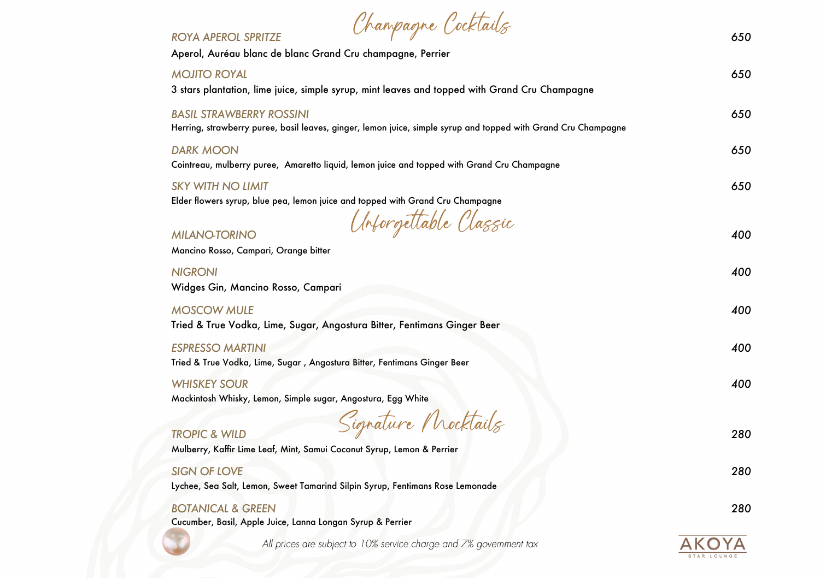| Chanpagne Cocktails<br><b>ROYA APEROL SPRITZE</b>                                                                                                 | 650 |
|---------------------------------------------------------------------------------------------------------------------------------------------------|-----|
| Aperol, Auréau blanc de blanc Grand Cru champagne, Perrier                                                                                        |     |
| <b>MOJITO ROYAL</b><br>3 stars plantation, lime juice, simple syrup, mint leaves and topped with Grand Cru Champagne                              | 650 |
| <b>BASIL STRAWBERRY ROSSINI</b><br>Herring, strawberry puree, basil leaves, ginger, lemon juice, simple syrup and topped with Grand Cru Champagne | 650 |
| <b>DARK MOON</b><br>Cointreau, mulberry puree, Amaretto liquid, lemon juice and topped with Grand Cru Champagne                                   | 650 |
| <b>SKY WITH NO LIMIT</b><br>Elder flowers syrup, blue pea, lemon juice and topped with Grand Cru Champagne                                        | 650 |
| Unforgettable Classic<br><b>MILANO-TORINO</b><br>Mancino Rosso, Campari, Orange bitter                                                            | 400 |
| <b>NIGRONI</b><br>Widges Gin, Mancino Rosso, Campari                                                                                              | 400 |
| <b>MOSCOW MULE</b><br>Tried & True Vodka, Lime, Sugar, Angostura Bitter, Fentimans Ginger Beer                                                    | 400 |
| <b>ESPRESSO MARTINI</b><br>Tried & True Vodka, Lime, Sugar, Angostura Bitter, Fentimans Ginger Beer                                               | 400 |
| <b>WHISKEY SOUR</b><br>Mackintosh Whisky, Lemon, Simple sugar, Angostura, Egg White                                                               | 400 |
| Signature Mocktails<br><b>TROPIC &amp; WILD</b><br>Mulberry, Kaffir Lime Leaf, Mint, Samui Coconut Syrup, Lemon & Perrier                         | 280 |
| <b>SIGN OF LOVE</b><br>Lychee, Sea Salt, Lemon, Sweet Tamarind Silpin Syrup, Fentimans Rose Lemonade                                              | 280 |
| <b>BOTANICAL &amp; GREEN</b><br>Cucumber, Basil, Apple Juice, Lanna Longan Syrup & Perrier                                                        | 280 |
| All prices are subject to 10% service charge and 7% government tax                                                                                |     |
|                                                                                                                                                   |     |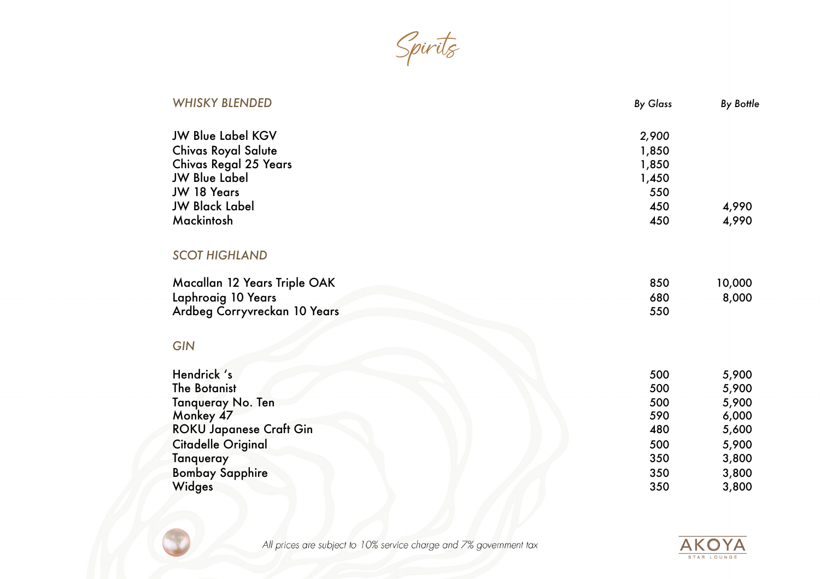Spirits

| <b>WHISKY BLENDED</b>          | <b>By Glass</b> | <b>By Bottle</b> |
|--------------------------------|-----------------|------------------|
| <b>JW Blue Label KGV</b>       | 2,900           |                  |
| <b>Chivas Royal Salute</b>     | 1,850           |                  |
| <b>Chivas Regal 25 Years</b>   | 1,850           |                  |
| <b>JW Blue Label</b>           | 1,450           |                  |
| JW 18 Years                    | 550             |                  |
| <b>JW Black Label</b>          | 450             | 4,990            |
| Mackintosh                     | 450             | 4,990            |
| <b>SCOT HIGHLAND</b>           |                 |                  |
| Macallan 12 Years Triple OAK   | 850             | 10,000           |
| Laphroaig 10 Years             | 680             | 8,000            |
| Ardbeg Corryvreckan 10 Years   | 550             |                  |
| <b>GIN</b>                     |                 |                  |
| Hendrick 's                    | 500             | 5,900            |
| <b>The Botanist</b>            | 500             | 5,900            |
| Tanqueray No. Ten              | 500             | 5,900            |
| Monkey 47                      | 590             | 6,000            |
| <b>ROKU Japanese Craft Gin</b> | 480             | 5,600            |
| <b>Citadelle Original</b>      | 500             | 5,900            |
| Tanqueray                      | 350             | 3,800            |
| <b>Bombay Sapphire</b>         | 350             | 3,800            |
| Widges                         | 350             | 3,800            |
|                                |                 |                  |



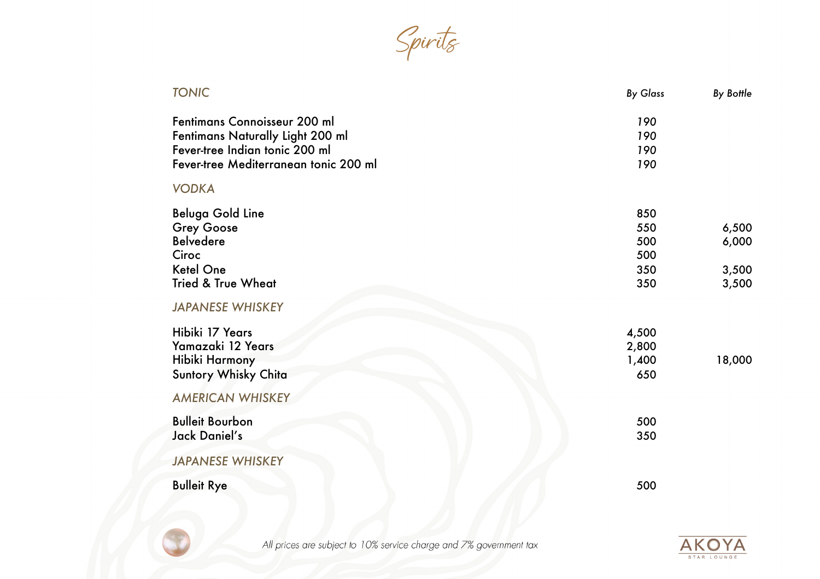Spirits

| <b>TONIC</b>                          | <b>By Glass</b> | <b>By Bottle</b> |
|---------------------------------------|-----------------|------------------|
| Fentimans Connoisseur 200 ml          | 190             |                  |
| Fentimans Naturally Light 200 ml      | 190             |                  |
| Fever-tree Indian tonic 200 ml        | 190             |                  |
| Fever-tree Mediterranean tonic 200 ml | 190             |                  |
| <b>VODKA</b>                          |                 |                  |
| <b>Beluga Gold Line</b>               | 850             |                  |
| <b>Grey Goose</b>                     | 550             | 6,500            |
| <b>Belvedere</b>                      | 500             | 6,000            |
| Ciroc                                 | 500             |                  |
| <b>Ketel One</b>                      | 350             | 3,500            |
| <b>Tried &amp; True Wheat</b>         | 350             | 3,500            |
| <b>JAPANESE WHISKEY</b>               |                 |                  |
| Hibiki 17 Years                       | 4,500           |                  |
| Yamazaki 12 Years                     | 2,800           |                  |
| Hibiki Harmony                        | 1,400           | 18,000           |
| Suntory Whisky Chita                  | 650             |                  |
| <b>AMERICAN WHISKEY</b>               |                 |                  |
| <b>Bulleit Bourbon</b>                | 500             |                  |
| Jack Daniel's                         | 350             |                  |
| <b>JAPANESE WHISKEY</b>               |                 |                  |
| <b>Bulleit Rye</b>                    | 500             |                  |
|                                       |                 |                  |



All prices are subject to 10% service charge and 7% government tax

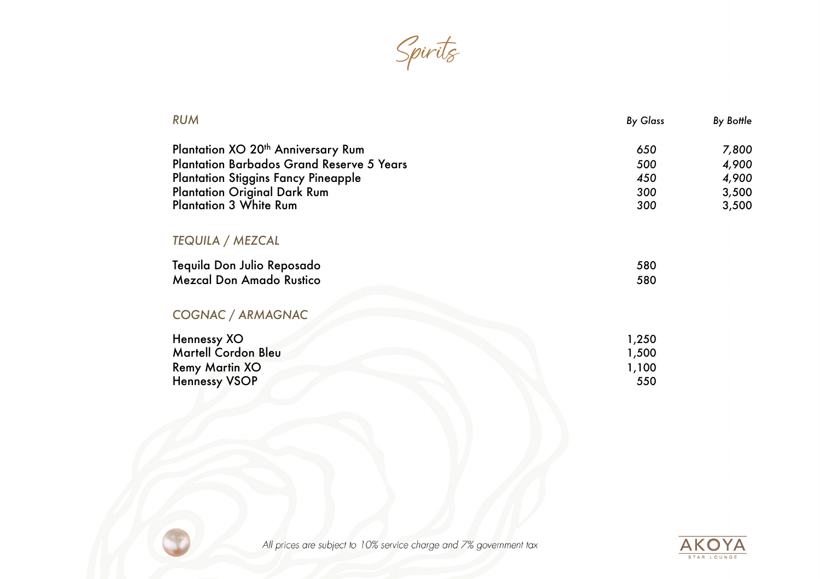Spirits

| <b>RUM</b>                                       | <b>By Glass</b> | <b>By Bottle</b> |
|--------------------------------------------------|-----------------|------------------|
| Plantation XO 20 <sup>th</sup> Anniversary Rum   | 650             | 7,800            |
| <b>Plantation Barbados Grand Reserve 5 Years</b> | 500             | 4,900            |
| <b>Plantation Stiggins Fancy Pineapple</b>       | 450             | 4,900            |
| <b>Plantation Original Dark Rum</b>              | 300             | 3,500            |
| <b>Plantation 3 White Rum</b>                    | 300             | 3,500            |
| <b>TEQUILA / MEZCAL</b>                          |                 |                  |
| Tequila Don Julio Reposado                       | 580             |                  |
| <b>Mezcal Don Amado Rustico</b>                  | 580             |                  |
| COGNAC / ARMAGNAC                                |                 |                  |
| Hennessy XO                                      | 1,250           |                  |
| Martell Cordon Bleu                              | 1,500           |                  |
| <b>Remy Martin XO</b>                            | 1,100           |                  |
| <b>Hennessy VSOP</b>                             | 550             |                  |
|                                                  |                 |                  |



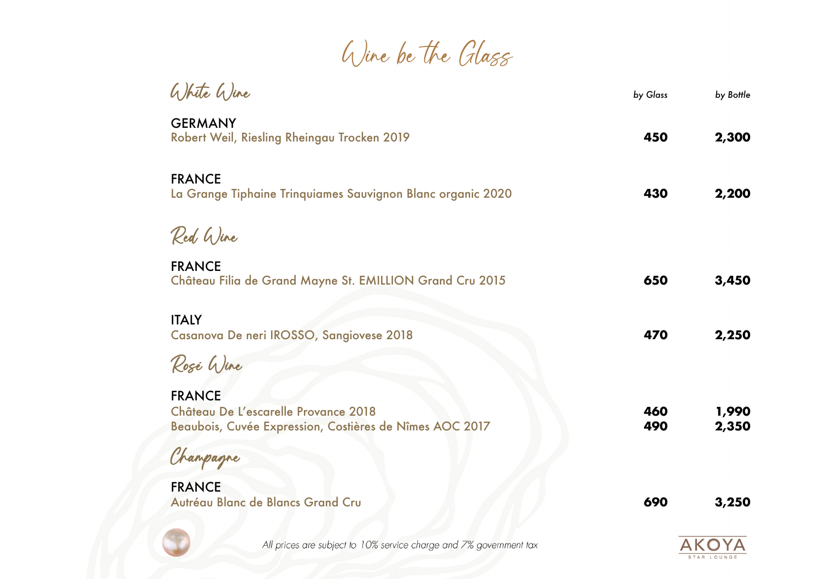Wine be the Glass

| White Wine                                                                                                       | by Glass   | by Bottle      |
|------------------------------------------------------------------------------------------------------------------|------------|----------------|
| <b>GERMANY</b><br>Robert Weil, Riesling Rheingau Trocken 2019                                                    | 450        | 2,300          |
| <b>FRANCE</b><br>La Grange Tiphaine Trinquiames Sauvignon Blanc organic 2020                                     | 430        | 2,200          |
| Red Wine                                                                                                         |            |                |
| <b>FRANCE</b><br>Château Filia de Grand Mayne St. EMILLION Grand Cru 2015                                        | 650        | 3,450          |
| <b>ITALY</b><br>Casanova De neri IROSSO, Sangiovese 2018                                                         | 470        | 2,250          |
| Rosé Wine                                                                                                        |            |                |
| <b>FRANCE</b><br>Château De L'escarelle Provance 2018<br>Beaubois, Cuvée Expression, Costières de Nîmes AOC 2017 | 460<br>490 | 1,990<br>2,350 |
| Champagne                                                                                                        |            |                |
| <b>FRANCE</b><br>Autréau Blanc de Blancs Grand Cru                                                               | 690        | 3,250          |
|                                                                                                                  |            |                |



All prices are subject to 10% service charge and 7% government tax

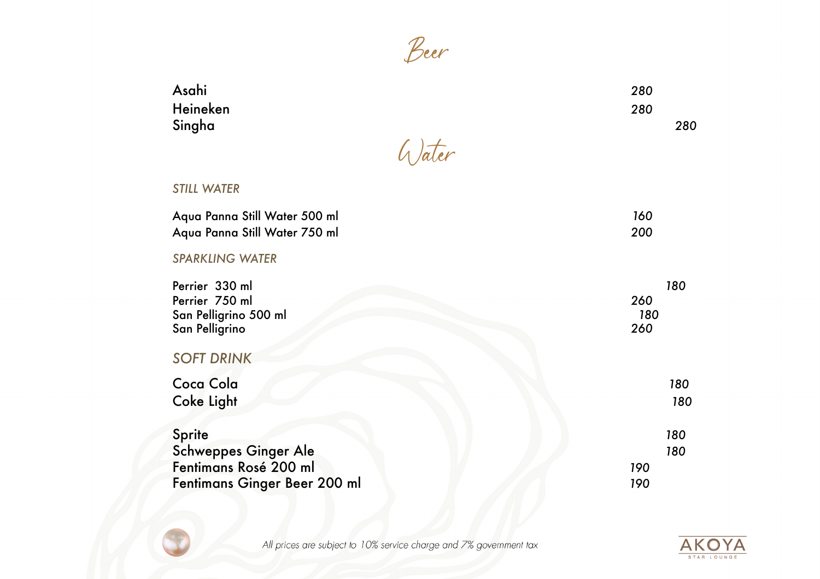

| Asahi    |        | 280 |
|----------|--------|-----|
| Heineken |        | 280 |
| Singha   |        | 280 |
|          | G)ater |     |

## *STILL WATER*

| Aqua Panna Still Water 500 ml | 160 |
|-------------------------------|-----|
| Aqua Panna Still Water 750 ml | 200 |

## *SPARKLING WATER*

| Perrier 330 ml               | 180 |
|------------------------------|-----|
| Perrier 750 ml               | 260 |
| San Pelligrino 500 ml        | 180 |
| San Pelligrino               | 260 |
| <b>SOFT DRINK</b>            |     |
| Coca Cola                    | 180 |
| <b>Coke Light</b>            | 180 |
|                              |     |
| Sprite                       | 180 |
| <b>Schweppes Ginger Ale</b>  | 180 |
| Fentimans Rosé 200 ml        | 190 |
| Fentimans Ginger Beer 200 ml | 190 |
|                              |     |



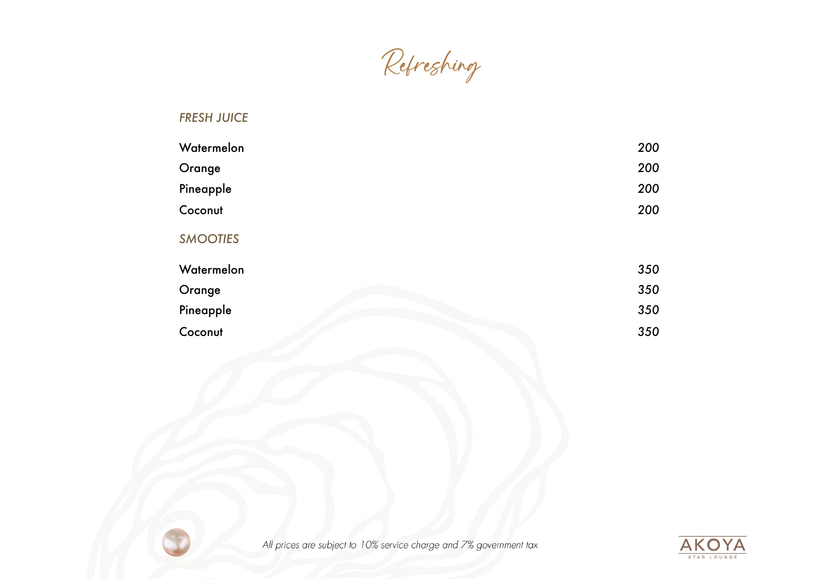Refreshing

## *FRESH JUICE*

| Watermelon      | 200 |
|-----------------|-----|
| Orange          | 200 |
| Pineapple       | 200 |
| Coconut         | 200 |
| <b>SMOOTIES</b> |     |
| Watermelon      | 350 |
| Orange          | 350 |
| Pineapple       | 350 |
| Coconut         | 350 |



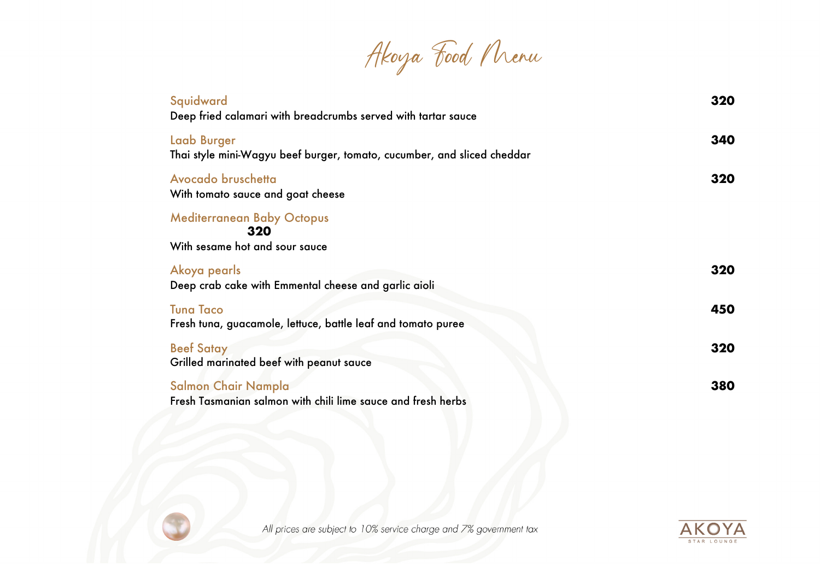Akoya Food Menu

| Squidward<br>Deep fried calamari with breadcrumbs served with tartar sauce                    | 320 |
|-----------------------------------------------------------------------------------------------|-----|
| <b>Laab Burger</b><br>Thai style mini-Wagyu beef burger, tomato, cucumber, and sliced cheddar | 340 |
| Avocado bruschetta<br>With tomato sauce and goat cheese                                       | 320 |
| <b>Mediterranean Baby Octopus</b>                                                             |     |
| 320<br>With sesame hot and sour sauce                                                         |     |
| Akoya pearls<br>Deep crab cake with Emmental cheese and garlic aioli                          | 320 |
| <b>Tuna Taco</b><br>Fresh tuna, guacamole, lettuce, battle leaf and tomato puree              | 450 |
| <b>Beef Satay</b><br>Grilled marinated beef with peanut sauce                                 | 320 |
| Salmon Chair Nampla<br>Fresh Tasmanian salmon with chili lime sauce and fresh herbs           | 380 |